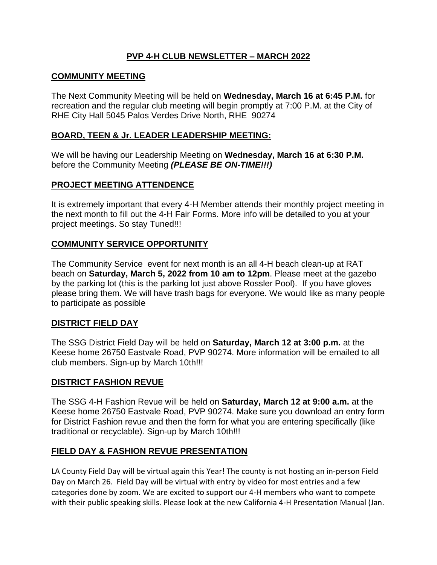## **PVP 4-H CLUB NEWSLETTER – MARCH 2022**

### **COMMUNITY MEETING**

The Next Community Meeting will be held on **Wednesday, March 16 at 6:45 P.M.** for recreation and the regular club meeting will begin promptly at 7:00 P.M. at the City of RHE City Hall 5045 Palos Verdes Drive North, RHE 90274

#### **BOARD, TEEN & Jr. LEADER LEADERSHIP MEETING:**

We will be having our Leadership Meeting on **Wednesday, March 16 at 6:30 P.M.** before the Community Meeting *(PLEASE BE ON-TIME!!!)*

### **PROJECT MEETING ATTENDENCE**

It is extremely important that every 4-H Member attends their monthly project meeting in the next month to fill out the 4-H Fair Forms. More info will be detailed to you at your project meetings. So stay Tuned!!!

### **COMMUNITY SERVICE OPPORTUNITY**

The Community Service event for next month is an all 4-H beach clean-up at RAT beach on **Saturday, March 5, 2022 from 10 am to 12pm**. Please meet at the gazebo by the parking lot (this is the parking lot just above Rossler Pool). If you have gloves please bring them. We will have trash bags for everyone. We would like as many people to participate as possible

#### **DISTRICT FIELD DAY**

The SSG District Field Day will be held on **Saturday, March 12 at 3:00 p.m.** at the Keese home 26750 Eastvale Road, PVP 90274. More information will be emailed to all club members. Sign-up by March 10th!!!

#### **DISTRICT FASHION REVUE**

The SSG 4-H Fashion Revue will be held on **Saturday, March 12 at 9:00 a.m.** at the Keese home 26750 Eastvale Road, PVP 90274. Make sure you download an entry form for District Fashion revue and then the form for what you are entering specifically (like traditional or recyclable). Sign-up by March 10th!!!

#### **FIELD DAY & FASHION REVUE PRESENTATION**

LA County Field Day will be virtual again this Year! The county is not hosting an in-person Field Day on March 26. Field Day will be virtual with entry by video for most entries and a few categories done by zoom. We are excited to support our 4-H members who want to compete with their public speaking skills. Please look at the new California 4-H Presentation Manual (Jan.